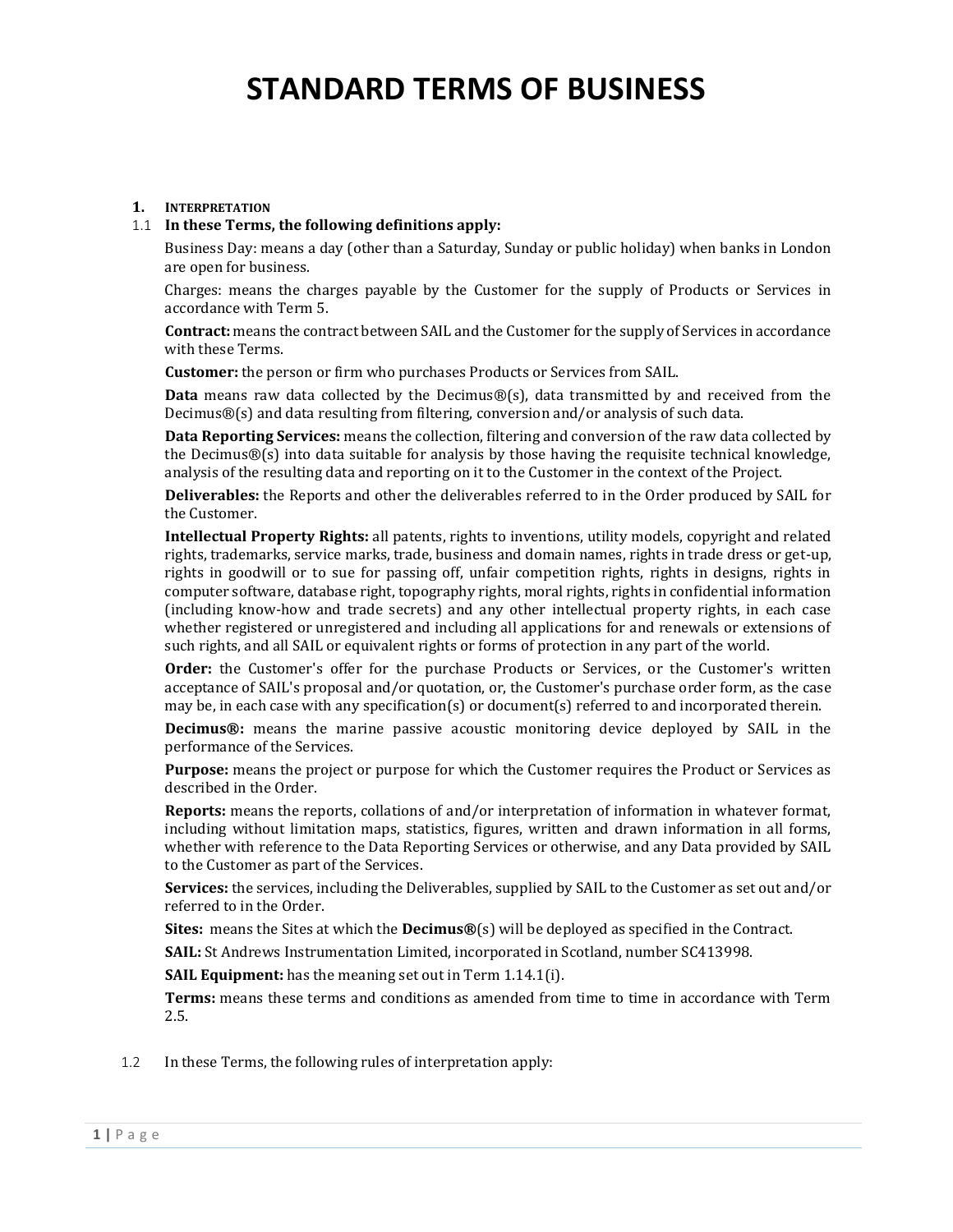### **1. INTERPRETATION**

#### 1.1 **In these Terms, the following definitions apply:**

Business Day: means a day (other than a Saturday, Sunday or public holiday) when banks in London are open for business.

Charges: means the charges payable by the Customer for the supply of Products or Services in accordance with Term 5.

**Contract:** means the contract between SAIL and the Customer for the supply of Services in accordance with these Terms.

**Customer:** the person or firm who purchases Products or Services from SAIL.

**Data** means raw data collected by the Decimus®(s), data transmitted by and received from the Decimus®(s) and data resulting from filtering, conversion and/or analysis of such data.

**Data Reporting Services:** means the collection, filtering and conversion of the raw data collected by the Decimus®(s) into data suitable for analysis by those having the requisite technical knowledge, analysis of the resulting data and reporting on it to the Customer in the context of the Project.

**Deliverables:** the Reports and other the deliverables referred to in the Order produced by SAIL for the Customer.

**Intellectual Property Rights:** all patents, rights to inventions, utility models, copyright and related rights, trademarks, service marks, trade, business and domain names, rights in trade dress or get-up, rights in goodwill or to sue for passing off, unfair competition rights, rights in designs, rights in computer software, database right, topography rights, moral rights, rights in confidential information (including know-how and trade secrets) and any other intellectual property rights, in each case whether registered or unregistered and including all applications for and renewals or extensions of such rights, and all SAIL or equivalent rights or forms of protection in any part of the world.

**Order:** the Customer's offer for the purchase Products or Services, or the Customer's written acceptance of SAIL's proposal and/or quotation, or, the Customer's purchase order form, as the case may be, in each case with any specification(s) or document(s) referred to and incorporated therein.

**Decimus®:** means the marine passive acoustic monitoring device deployed by SAIL in the performance of the Services.

**Purpose:** means the project or purpose for which the Customer requires the Product or Services as described in the Order.

**Reports:** means the reports, collations of and/or interpretation of information in whatever format, including without limitation maps, statistics, figures, written and drawn information in all forms, whether with reference to the Data Reporting Services or otherwise, and any Data provided by SAIL to the Customer as part of the Services.

**Services:** the services, including the Deliverables, supplied by SAIL to the Customer as set out and/or referred to in the Order.

**Sites:** means the Sites at which the **Decimus®**(s) will be deployed as specified in the Contract.

**SAIL:** St Andrews Instrumentation Limited, incorporated in Scotland, number SC413998.

**SAIL Equipment:** has the meaning set out in Term [1.14.1\(i\).](#page-2-0)

**Terms:** means these terms and conditions as amended from time to time in accordance with Term 2.5.

1.2 In these Terms, the following rules of interpretation apply: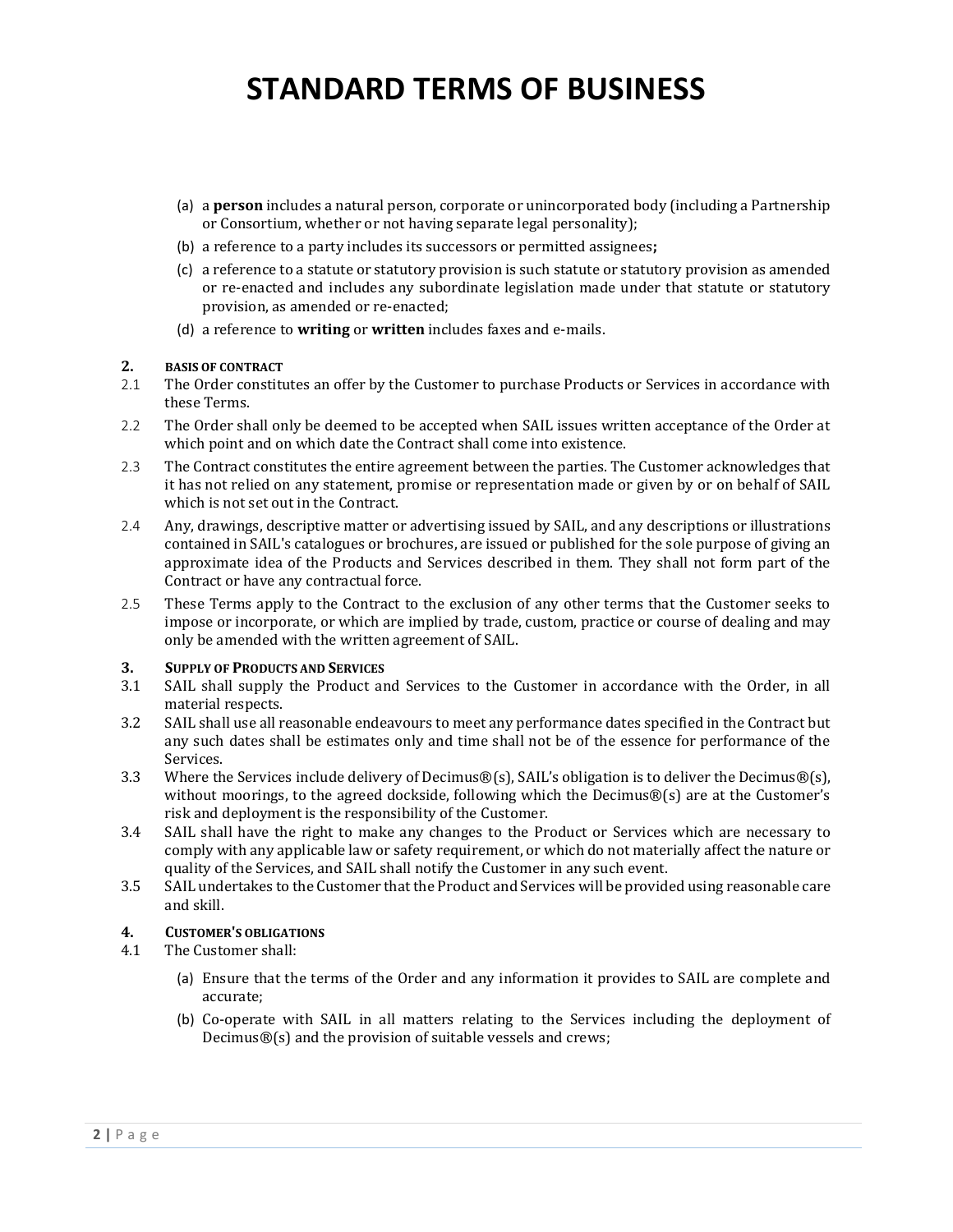- (a) a **person** includes a natural person, corporate or unincorporated body (including a Partnership or Consortium, whether or not having separate legal personality);
- (b) a reference to a party includes its successors or permitted assignees**;**
- (c) a reference to a statute or statutory provision is such statute or statutory provision as amended or re-enacted and includes any subordinate legislation made under that statute or statutory provision, as amended or re-enacted;
- (d) a reference to **writing** or **written** includes faxes and e-mails.

#### **2. BASIS OF CONTRACT**

- 2.1 The Order constitutes an offer by the Customer to purchase Products or Services in accordance with these Terms.
- 2.2 The Order shall only be deemed to be accepted when SAIL issues written acceptance of the Order at which point and on which date the Contract shall come into existence.
- 2.3 The Contract constitutes the entire agreement between the parties. The Customer acknowledges that it has not relied on any statement, promise or representation made or given by or on behalf of SAIL which is not set out in the Contract.
- 2.4 Any, drawings, descriptive matter or advertising issued by SAIL, and any descriptions or illustrations contained in SAIL's catalogues or brochures, are issued or published for the sole purpose of giving an approximate idea of the Products and Services described in them. They shall not form part of the Contract or have any contractual force.
- 2.5 These Terms apply to the Contract to the exclusion of any other terms that the Customer seeks to impose or incorporate, or which are implied by trade, custom, practice or course of dealing and may only be amended with the written agreement of SAIL.

### **3. SUPPLY OF PRODUCTS AND SERVICES**

- 3.1 SAIL shall supply the Product and Services to the Customer in accordance with the Order, in all material respects.
- 3.2 SAIL shall use all reasonable endeavours to meet any performance dates specified in the Contract but any such dates shall be estimates only and time shall not be of the essence for performance of the Services.
- 3.3 Where the Services include delivery of Decimus®(s), SAIL's obligation is to deliver the Decimus®(s), without moorings, to the agreed dockside, following which the Decimus®(s) are at the Customer's risk and deployment is the responsibility of the Customer.
- 3.4 SAIL shall have the right to make any changes to the Product or Services which are necessary to comply with any applicable law or safety requirement, or which do not materially affect the nature or quality of the Services, and SAIL shall notify the Customer in any such event.
- 3.5 SAIL undertakes to the Customer that the Product and Services will be provided using reasonable care and skill.

### **4. CUSTOMER'S OBLIGATIONS**

- 4.1 The Customer shall:
	- (a) Ensure that the terms of the Order and any information it provides to SAIL are complete and accurate;
	- (b) Co-operate with SAIL in all matters relating to the Services including the deployment of Decimus®(s) and the provision of suitable vessels and crews;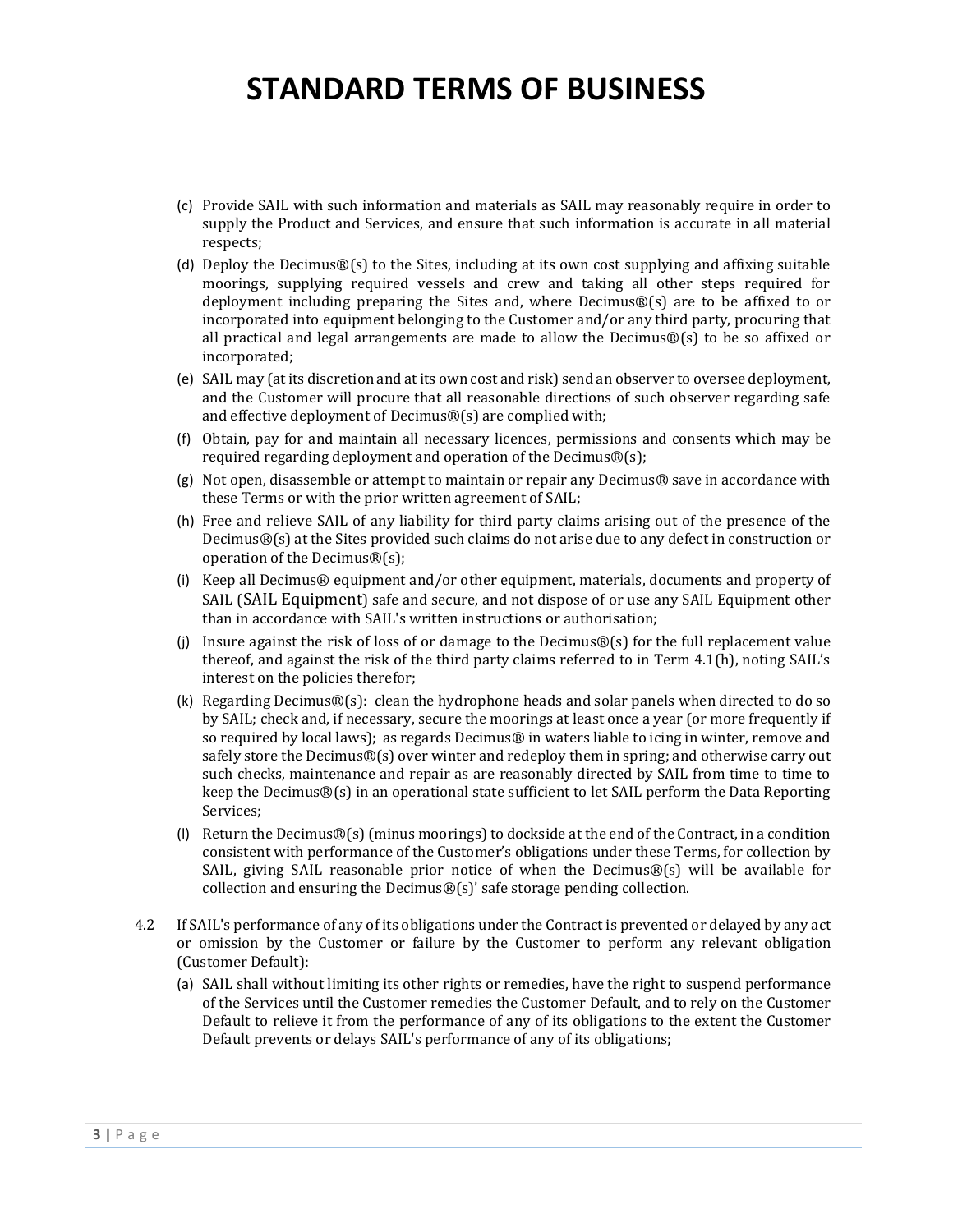- (c) Provide SAIL with such information and materials as SAIL may reasonably require in order to supply the Product and Services, and ensure that such information is accurate in all material respects;
- (d) Deploy the Decimus $\mathcal{B}(s)$  to the Sites, including at its own cost supplying and affixing suitable moorings, supplying required vessels and crew and taking all other steps required for deployment including preparing the Sites and, where Decimus®(s) are to be affixed to or incorporated into equipment belonging to the Customer and/or any third party, procuring that all practical and legal arrangements are made to allow the Decimus®(s) to be so affixed or incorporated;
- (e) SAIL may (at its discretion and at its own cost and risk) send an observer to oversee deployment, and the Customer will procure that all reasonable directions of such observer regarding safe and effective deployment of Decimus®(s) are complied with;
- (f) Obtain, pay for and maintain all necessary licences, permissions and consents which may be required regarding deployment and operation of the Decimus®(s);
- (g) Not open, disassemble or attempt to maintain or repair any Decimus® save in accordance with these Terms or with the prior written agreement of SAIL;
- (h) Free and relieve SAIL of any liability for third party claims arising out of the presence of the Decimus®(s) at the Sites provided such claims do not arise due to any defect in construction or operation of the Decimus®(s);
- <span id="page-2-0"></span>(i) Keep all Decimus® equipment and/or other equipment, materials, documents and property of SAIL (SAIL Equipment) safe and secure, and not dispose of or use any SAIL Equipment other than in accordance with SAIL's written instructions or authorisation;
- (i) Insure against the risk of loss of or damage to the Decimus $\mathcal{B}(s)$  for the full replacement value thereof, and against the risk of the third party claims referred to in Term 4.1(h), noting SAIL's interest on the policies therefor;
- (k) Regarding Decimus®(s): clean the hydrophone heads and solar panels when directed to do so by SAIL; check and, if necessary, secure the moorings at least once a year (or more frequently if so required by local laws); as regards Decimus® in waters liable to icing in winter, remove and safely store the Decimus®(s) over winter and redeploy them in spring; and otherwise carry out such checks, maintenance and repair as are reasonably directed by SAIL from time to time to keep the Decimus $\mathcal{B}(s)$  in an operational state sufficient to let SAIL perform the Data Reporting Services;
- (I) Return the Decimus $\mathcal{B}(s)$  (minus moorings) to dockside at the end of the Contract, in a condition consistent with performance of the Customer's obligations under these Terms, for collection by SAIL, giving SAIL reasonable prior notice of when the Decimus $\mathcal{B}(s)$  will be available for collection and ensuring the Decimus®(s)' safe storage pending collection.
- <span id="page-2-1"></span>4.2 If SAIL's performance of any of its obligations under the Contract is prevented or delayed by any act or omission by the Customer or failure by the Customer to perform any relevant obligation (Customer Default):
	- (a) SAIL shall without limiting its other rights or remedies, have the right to suspend performance of the Services until the Customer remedies the Customer Default, and to rely on the Customer Default to relieve it from the performance of any of its obligations to the extent the Customer Default prevents or delays SAIL's performance of any of its obligations;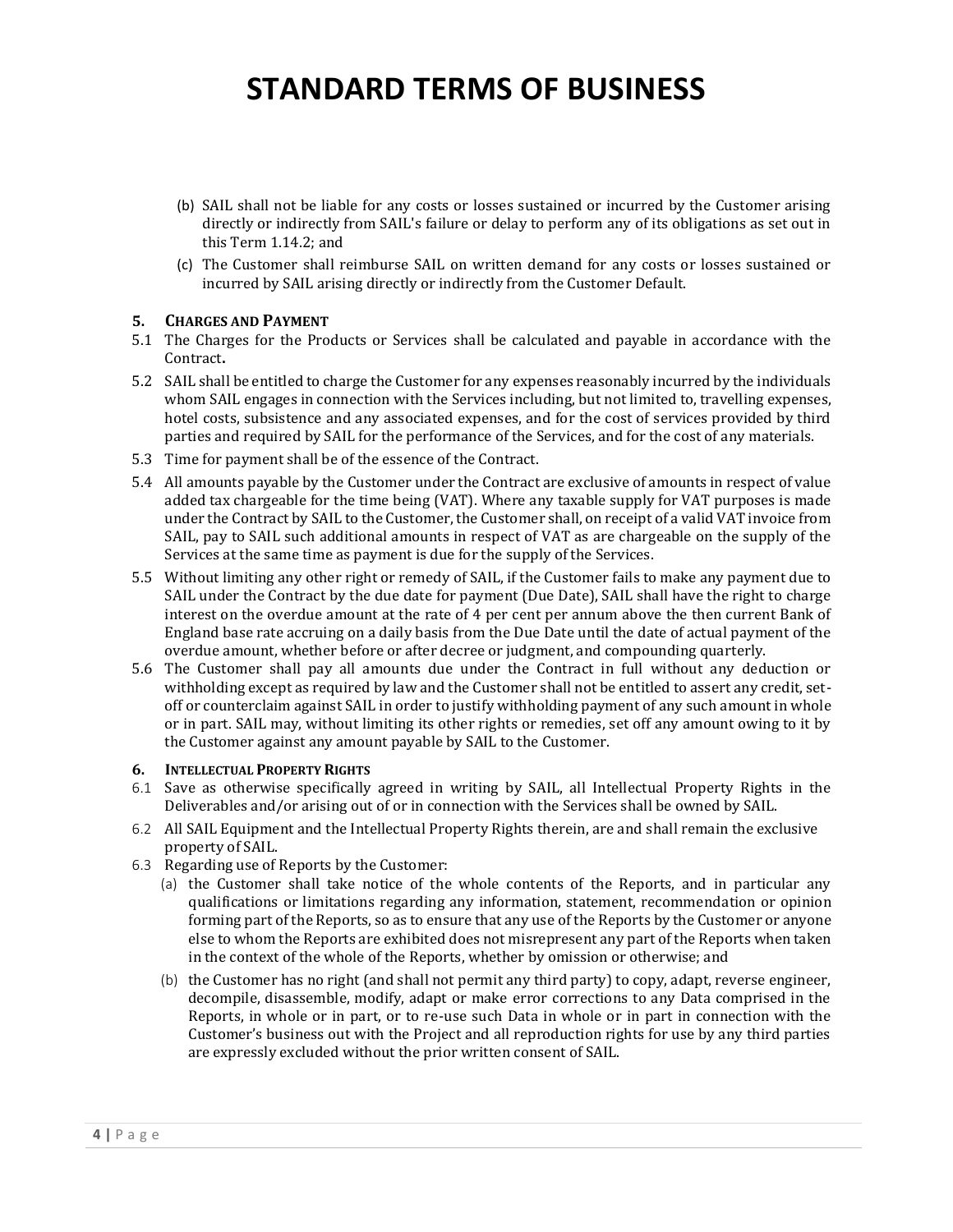- (b) SAIL shall not be liable for any costs or losses sustained or incurred by the Customer arising directly or indirectly from SAIL's failure or delay to perform any of its obligations as set out in this Term [1.14.2;](#page-2-1) and
- (c) The Customer shall reimburse SAIL on written demand for any costs or losses sustained or incurred by SAIL arising directly or indirectly from the Customer Default.

### **5. CHARGES AND PAYMENT**

- 5.1 The Charges for the Products or Services shall be calculated and payable in accordance with the Contract**.**
- 5.2 SAIL shall be entitled to charge the Customer for any expenses reasonably incurred by the individuals whom SAIL engages in connection with the Services including, but not limited to, travelling expenses, hotel costs, subsistence and any associated expenses, and for the cost of services provided by third parties and required by SAIL for the performance of the Services, and for the cost of any materials.
- 5.3 Time for payment shall be of the essence of the Contract.
- 5.4 All amounts payable by the Customer under the Contract are exclusive of amounts in respect of value added tax chargeable for the time being (VAT). Where any taxable supply for VAT purposes is made under the Contract by SAIL to the Customer, the Customer shall, on receipt of a valid VAT invoice from SAIL, pay to SAIL such additional amounts in respect of VAT as are chargeable on the supply of the Services at the same time as payment is due for the supply of the Services.
- 5.5 Without limiting any other right or remedy of SAIL, if the Customer fails to make any payment due to SAIL under the Contract by the due date for payment (Due Date), SAIL shall have the right to charge interest on the overdue amount at the rate of 4 per cent per annum above the then current Bank of England base rate accruing on a daily basis from the Due Date until the date of actual payment of the overdue amount, whether before or after decree or judgment, and compounding quarterly.
- 5.6 The Customer shall pay all amounts due under the Contract in full without any deduction or withholding except as required by law and the Customer shall not be entitled to assert any credit, setoff or counterclaim against SAIL in order to justify withholding payment of any such amount in whole or in part. SAIL may, without limiting its other rights or remedies, set off any amount owing to it by the Customer against any amount payable by SAIL to the Customer.

### **6. INTELLECTUAL PROPERTY RIGHTS**

- 6.1 Save as otherwise specifically agreed in writing by SAIL, all Intellectual Property Rights in the Deliverables and/or arising out of or in connection with the Services shall be owned by SAIL.
- 6.2 All SAIL Equipment and the Intellectual Property Rights therein, are and shall remain the exclusive property of SAIL.
- 6.3 Regarding use of Reports by the Customer:
	- (a) the Customer shall take notice of the whole contents of the Reports, and in particular any qualifications or limitations regarding any information, statement, recommendation or opinion forming part of the Reports, so as to ensure that any use of the Reports by the Customer or anyone else to whom the Reports are exhibited does not misrepresent any part of the Reports when taken in the context of the whole of the Reports, whether by omission or otherwise; and
	- (b) the Customer has no right (and shall not permit any third party) to copy, adapt, reverse engineer, decompile, disassemble, modify, adapt or make error corrections to any Data comprised in the Reports, in whole or in part, or to re-use such Data in whole or in part in connection with the Customer's business out with the Project and all reproduction rights for use by any third parties are expressly excluded without the prior written consent of SAIL.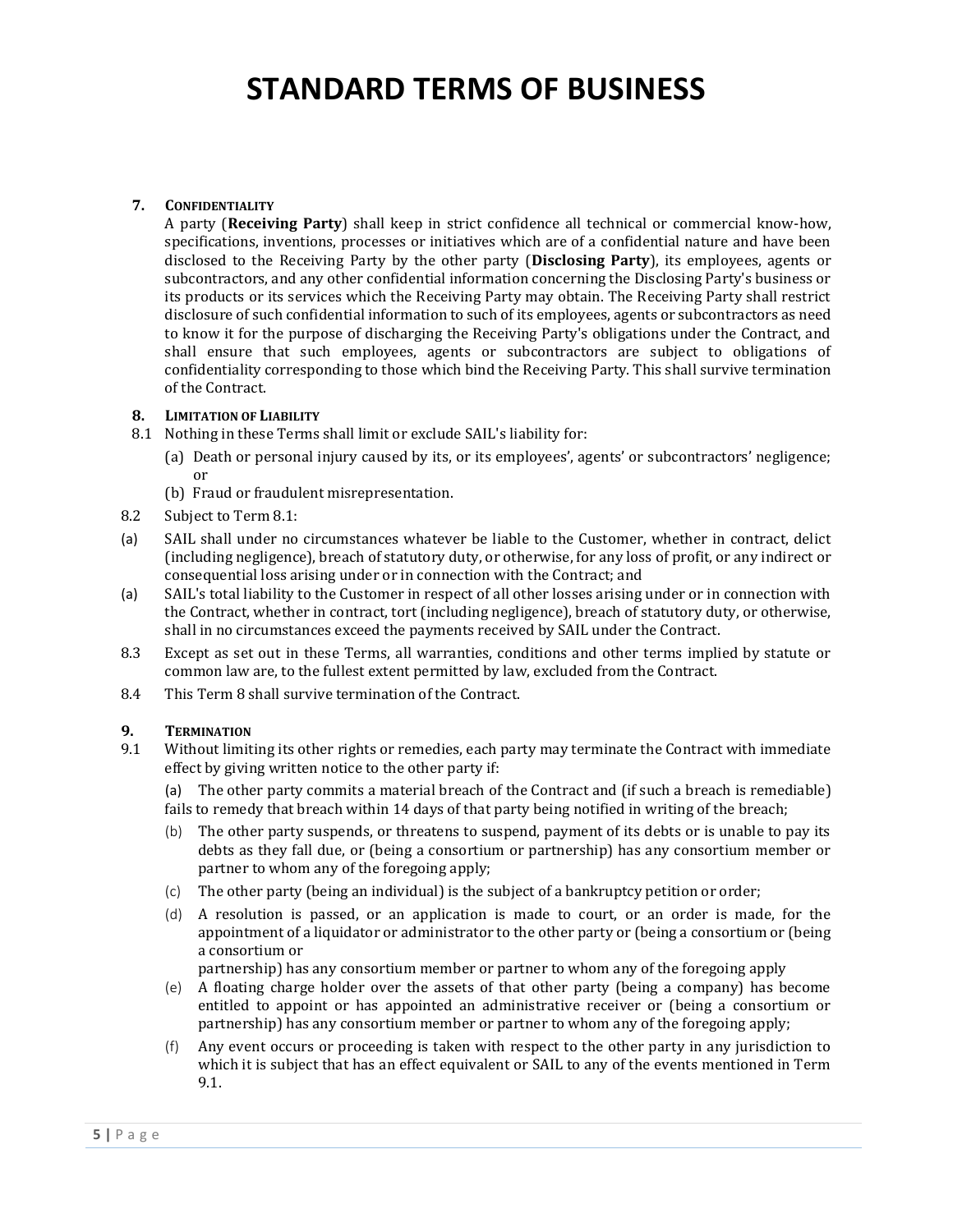### **7. CONFIDENTIALITY**

A party (**Receiving Party**) shall keep in strict confidence all technical or commercial know-how, specifications, inventions, processes or initiatives which are of a confidential nature and have been disclosed to the Receiving Party by the other party (**Disclosing Party**), its employees, agents or subcontractors, and any other confidential information concerning the Disclosing Party's business or its products or its services which the Receiving Party may obtain. The Receiving Party shall restrict disclosure of such confidential information to such of its employees, agents or subcontractors as need to know it for the purpose of discharging the Receiving Party's obligations under the Contract, and shall ensure that such employees, agents or subcontractors are subject to obligations of confidentiality corresponding to those which bind the Receiving Party. This shall survive termination of the Contract.

### **8. LIMITATION OF LIABILITY**

- 8.1 Nothing in these Terms shall limit or exclude SAIL's liability for:
	- (a) Death or personal injury caused by its, or its employees', agents' or subcontractors' negligence; or
	- (b) Fraud or fraudulent misrepresentation.
- 8.2 Subject to Term 8.1:
- (a) SAIL shall under no circumstances whatever be liable to the Customer, whether in contract, delict (including negligence), breach of statutory duty, or otherwise, for any loss of profit, or any indirect or consequential loss arising under or in connection with the Contract; and
- (a) SAIL's total liability to the Customer in respect of all other losses arising under or in connection with the Contract, whether in contract, tort (including negligence), breach of statutory duty, or otherwise, shall in no circumstances exceed the payments received by SAIL under the Contract.
- 8.3 Except as set out in these Terms, all warranties, conditions and other terms implied by statute or common law are, to the fullest extent permitted by law, excluded from the Contract.
- 8.4 This Term 8 shall survive termination of the Contract.

### **9. TERMINATION**

- 9.1 Without limiting its other rights or remedies, each party may terminate the Contract with immediate effect by giving written notice to the other party if:
	- (a) The other party commits a material breach of the Contract and (if such a breach is remediable) fails to remedy that breach within 14 days of that party being notified in writing of the breach;
	- (b) The other party suspends, or threatens to suspend, payment of its debts or is unable to pay its debts as they fall due, or (being a consortium or partnership) has any consortium member or partner to whom any of the foregoing apply;
	- (c) The other party (being an individual) is the subject of a bankruptcy petition or order;
	- (d) A resolution is passed, or an application is made to court, or an order is made, for the appointment of a liquidator or administrator to the other party or (being a consortium or (being a consortium or

partnership) has any consortium member or partner to whom any of the foregoing apply

- (e) A floating charge holder over the assets of that other party (being a company) has become entitled to appoint or has appointed an administrative receiver or (being a consortium or partnership) has any consortium member or partner to whom any of the foregoing apply;
- (f) Any event occurs or proceeding is taken with respect to the other party in any jurisdiction to which it is subject that has an effect equivalent or SAIL to any of the events mentioned in Term 9.1.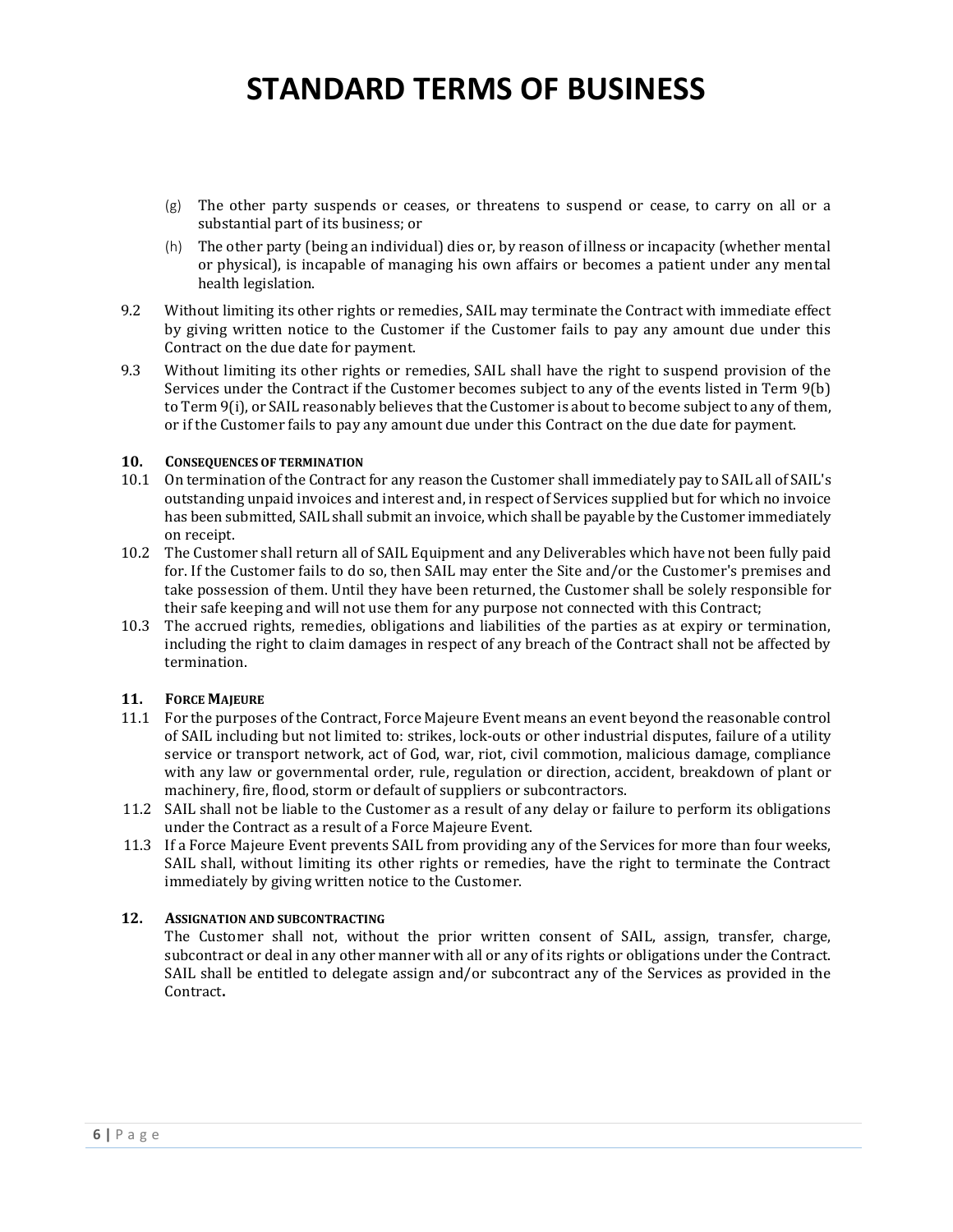- (g) The other party suspends or ceases, or threatens to suspend or cease, to carry on all or a substantial part of its business; or
- (h) The other party (being an individual) dies or, by reason of illness or incapacity (whether mental or physical), is incapable of managing his own affairs or becomes a patient under any mental health legislation.
- 9.2 Without limiting its other rights or remedies, SAIL may terminate the Contract with immediate effect by giving written notice to the Customer if the Customer fails to pay any amount due under this Contract on the due date for payment.
- 9.3 Without limiting its other rights or remedies, SAIL shall have the right to suspend provision of the Services under the Contract if the Customer becomes subject to any of the events listed in Term 9(b) to Term 9(i), or SAIL reasonably believes that the Customer is about to become subject to any of them, or if the Customer fails to pay any amount due under this Contract on the due date for payment.

### **10. CONSEQUENCES OF TERMINATION**

- 10.1 On termination of the Contract for any reason the Customer shall immediately pay to SAIL all of SAIL's outstanding unpaid invoices and interest and, in respect of Services supplied but for which no invoice has been submitted, SAIL shall submit an invoice, which shall be payable by the Customer immediately on receipt.
- 10.2 The Customer shall return all of SAIL Equipment and any Deliverables which have not been fully paid for. If the Customer fails to do so, then SAIL may enter the Site and/or the Customer's premises and take possession of them. Until they have been returned, the Customer shall be solely responsible for their safe keeping and will not use them for any purpose not connected with this Contract;
- 10.3 The accrued rights, remedies, obligations and liabilities of the parties as at expiry or termination, including the right to claim damages in respect of any breach of the Contract shall not be affected by termination.

### **11. FORCE MAJEURE**

- 11.1 For the purposes of the Contract, Force Majeure Event means an event beyond the reasonable control of SAIL including but not limited to: strikes, lock-outs or other industrial disputes, failure of a utility service or transport network, act of God, war, riot, civil commotion, malicious damage, compliance with any law or governmental order, rule, regulation or direction, accident, breakdown of plant or machinery, fire, flood, storm or default of suppliers or subcontractors.
- 11.2 SAIL shall not be liable to the Customer as a result of any delay or failure to perform its obligations under the Contract as a result of a Force Majeure Event.
- 11.3 If a Force Majeure Event prevents SAIL from providing any of the Services for more than four weeks, SAIL shall, without limiting its other rights or remedies, have the right to terminate the Contract immediately by giving written notice to the Customer.

### **12. ASSIGNATION AND SUBCONTRACTING**

The Customer shall not, without the prior written consent of SAIL, assign, transfer, charge, subcontract or deal in any other manner with all or any of its rights or obligations under the Contract. SAIL shall be entitled to delegate assign and/or subcontract any of the Services as provided in the Contract**.**